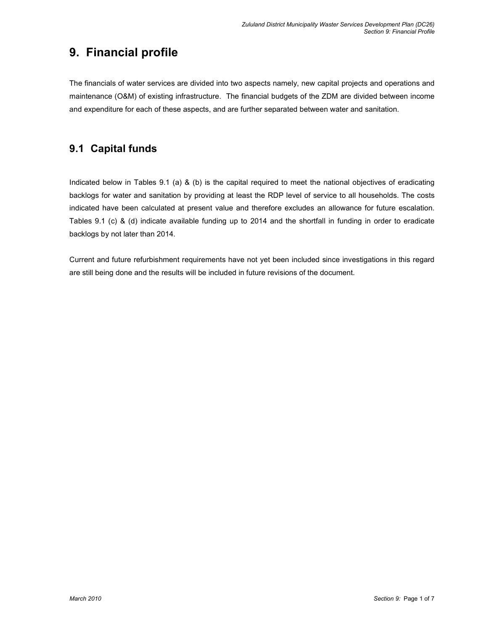# 9. Financial profile

The financials of water services are divided into two aspects namely, new capital projects and operations and maintenance (O&M) of existing infrastructure. The financial budgets of the ZDM are divided between income and expenditure for each of these aspects, and are further separated between water and sanitation.

# 9.1 Capital funds

Indicated below in Tables 9.1 (a) & (b) is the capital required to meet the national objectives of eradicating backlogs for water and sanitation by providing at least the RDP level of service to all households. The costs indicated have been calculated at present value and therefore excludes an allowance for future escalation. Tables 9.1 (c) & (d) indicate available funding up to 2014 and the shortfall in funding in order to eradicate backlogs by not later than 2014.

Current and future refurbishment requirements have not yet been included since investigations in this regard are still being done and the results will be included in future revisions of the document.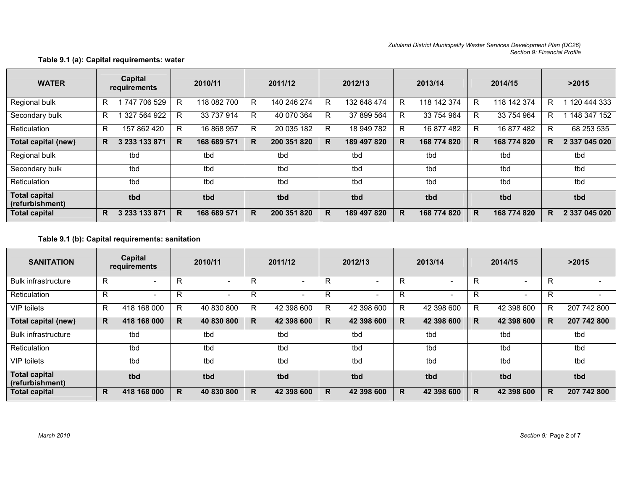#### Zululand District Municipality Waster Services Development Plan (DC26) Section 9: Financial Profile

### WATER | <sup>Capital</sup> | 2010/11 | 2011/12 | 2012/13 | 2013/14 | 2014/15 | >2015<br>*requirements* | 2010/11 | 2011/12 | 2012/13 | 2013/14 | 2014/15 Regional bulk | R 1 747 706 529 | R 118 082 700 | R 140 246 274 | R 132 648 474 | R 118 142 374 | R 118 142 374 | R 1 120 444 333 Secondary bulk | R 1 327 564 922 | R 33 737 914 | R 40 070 364 | R 37 899 564 | R 33 754 964 | R 1 1 148 347 152 Reticulation R 157 862 420 | R 16 868 957 | R 20 035 182 | R 18 949 782 | R 16 877 482 | R 16 877 482 | R 68 253 535 Total capital (new) R 3 233 133 871 R 168 689 571 R 200 351 820 R 189 497 820 R 168 774168 774 820 R 168 774 820 R 2 337 045 020 Regional bulk tbd | tbd | tbd | tbd | tbd | tbd Secondary bulk tbd tbd tbd tbd tbd tbd tbd Reticulation tbd tbd tbd tbd tbd tbd tbd Total capital (refurbishment) tbd tbd tbd tbd tbd tbd tbd Total capitalR 3 233 133 871 R 168 689 571 R 200 351 820 R 189 497 820 R 168 774 820 R 168 774 820 R 2 337 045 020

#### Table 9.1 (a): Capital requirements: water

#### Table 9.1 (b): Capital requirements: sanitation

| <b>SANITATION</b>                       |    | Capital<br>requirements  | 2010/11 |            | 2011/12 |                          | 2012/13 |                          | 2013/14 |                          | 2014/15 |            | >2015 |             |
|-----------------------------------------|----|--------------------------|---------|------------|---------|--------------------------|---------|--------------------------|---------|--------------------------|---------|------------|-------|-------------|
| <b>Bulk infrastructure</b>              | R  | $\overline{\phantom{a}}$ | R       | ۰          | R       | $\overline{\phantom{0}}$ | R       | $\overline{\phantom{0}}$ | R       | $\overline{\phantom{0}}$ | R       | ۰          | R     |             |
| Reticulation                            | R  |                          | R       |            | R       | $\overline{\phantom{0}}$ | R       | $\overline{\phantom{0}}$ | R       | $\overline{\phantom{0}}$ | R       |            | R     |             |
| VIP toilets                             | R. | 418 168 000              | R.      | 40 830 800 | R       | 42 398 600               | R.      | 42 398 600               | R       | 42 398 600               | R       | 42 398 600 | R     | 207 742 800 |
| Total capital (new)                     | R. | 418 168 000              | R.      | 40 830 800 | R       | 42 398 600               | R       | 42 398 600               | R       | 42 398 600               | R       | 42 398 600 | R     | 207 742 800 |
| <b>Bulk infrastructure</b>              |    | tbd                      |         | tbd        |         | tbd                      |         | tbd                      |         | tbd                      |         | tbd        |       | tbd         |
| Reticulation                            |    | tbd                      |         | tbd        |         | tbd                      |         | tbd                      |         | tbd                      |         | tbd        |       | tbd         |
| VIP toilets                             |    | tbd                      |         | tbd        |         | tbd                      |         | tbd                      |         | tbd                      |         | tbd        |       | tbd         |
| <b>Total capital</b><br>(refurbishment) |    | tbd                      |         | tbd        |         | tbd                      |         | tbd                      |         | tbd                      |         | tbd        |       | tbd         |
| <b>Total capital</b>                    | R. | 418 168 000              | R.      | 40 830 800 | R       | 42 398 600               | R       | 42 398 600               | R       | 42 398 600               | R       | 42 398 600 | R.    | 207 742 800 |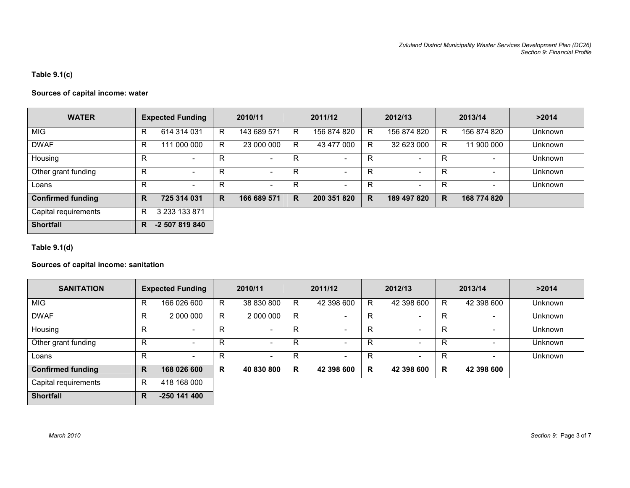### Table 9.1(c)

### Sources of capital income: water

| <b>WATER</b>             |   | <b>Expected Funding</b>  |   | 2010/11                  |    | 2011/12                  |   | 2012/13                  |    | 2013/14     | >2014          |
|--------------------------|---|--------------------------|---|--------------------------|----|--------------------------|---|--------------------------|----|-------------|----------------|
| <b>MIG</b>               | R | 614 314 031              | R | 143 689 571              | R  | 156 874 820              | R | 156 874 820              | R. | 156 874 820 | <b>Unknown</b> |
| <b>DWAF</b>              | R | 111 000 000              | R | 23 000 000               | R  | 43 477 000               | R | 32 623 000               | R. | 11 900 000  | <b>Unknown</b> |
| Housing                  | R | $\overline{\phantom{0}}$ | R | $\overline{\phantom{a}}$ | R  | $\overline{\phantom{a}}$ | R | $\overline{\phantom{a}}$ | R  |             | <b>Unknown</b> |
| Other grant funding      | R | $\overline{\phantom{a}}$ | R | $\overline{\phantom{a}}$ | R  | $\overline{\phantom{a}}$ | R | $\overline{\phantom{a}}$ | R  |             | <b>Unknown</b> |
| Loans                    | R | $\overline{\phantom{0}}$ | R | $\overline{\phantom{a}}$ | R  | ۰                        | R | $\overline{\phantom{a}}$ | R  |             | <b>Unknown</b> |
| <b>Confirmed funding</b> | R | 725 314 031              | R | 166 689 571              | R. | 200 351 820              | R | 189 497 820              | R. | 168 774 820 |                |
| Capital requirements     | R | 3 233 133 871            |   |                          |    |                          |   |                          |    |             |                |
| <b>Shortfall</b>         | R | -2 507 819 840           |   |                          |    |                          |   |                          |    |             |                |

Table 9.1(d)

### Sources of capital income: sanitation

| <b>SANITATION</b>        | <b>Expected Funding</b> |                          | 2010/11 |                          | 2011/12 |                          | 2012/13 |                          | 2013/14 |            | >2014          |
|--------------------------|-------------------------|--------------------------|---------|--------------------------|---------|--------------------------|---------|--------------------------|---------|------------|----------------|
| <b>MIG</b>               | R                       | 166 026 600              | R.      | 38 830 800               | R       | 42 398 600               | R.      | 42 398 600               | R.      | 42 398 600 | <b>Unknown</b> |
| <b>DWAF</b>              | R                       | 2 000 000                | R.      | 2 000 000                | R       | ۰.                       | R       | $\overline{\phantom{a}}$ | R       |            | Unknown        |
| Housing                  | R                       | $\overline{\phantom{0}}$ | R       | $\overline{\phantom{a}}$ | R       | $\overline{\phantom{0}}$ | R       | $\overline{\phantom{0}}$ | R       |            | <b>Unknown</b> |
| Other grant funding      | R                       | $\overline{\phantom{0}}$ | R       | $\overline{\phantom{a}}$ | R       | $\overline{\phantom{0}}$ | R       | $\overline{\phantom{0}}$ | R       |            | <b>Unknown</b> |
| Loans                    | R                       | $\overline{\phantom{a}}$ | R       | $\sim$                   | R       | $\overline{\phantom{0}}$ | R       | $\overline{\phantom{a}}$ | R       |            | <b>Unknown</b> |
| <b>Confirmed funding</b> | R                       | 168 026 600              | R       | 40 830 800               | R       | 42 398 600               | R       | 42 398 600               | R.      | 42 398 600 |                |
| Capital requirements     | R                       | 418 168 000              |         |                          |         |                          |         |                          |         |            |                |
| <b>Shortfall</b>         | R                       | $-250$ 141 400           |         |                          |         |                          |         |                          |         |            |                |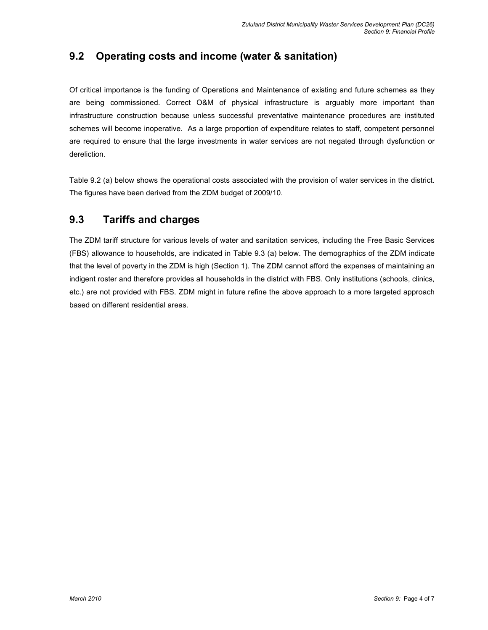# 9.2 Operating costs and income (water & sanitation)

Of critical importance is the funding of Operations and Maintenance of existing and future schemes as they are being commissioned. Correct O&M of physical infrastructure is arguably more important than infrastructure construction because unless successful preventative maintenance procedures are instituted schemes will become inoperative. As a large proportion of expenditure relates to staff, competent personnel are required to ensure that the large investments in water services are not negated through dysfunction or dereliction.

Table 9.2 (a) below shows the operational costs associated with the provision of water services in the district. The figures have been derived from the ZDM budget of 2009/10.

# 9.3 Tariffs and charges

The ZDM tariff structure for various levels of water and sanitation services, including the Free Basic Services (FBS) allowance to households, are indicated in Table 9.3 (a) below. The demographics of the ZDM indicate that the level of poverty in the ZDM is high (Section 1). The ZDM cannot afford the expenses of maintaining an indigent roster and therefore provides all households in the district with FBS. Only institutions (schools, clinics, etc.) are not provided with FBS. ZDM might in future refine the above approach to a more targeted approach based on different residential areas.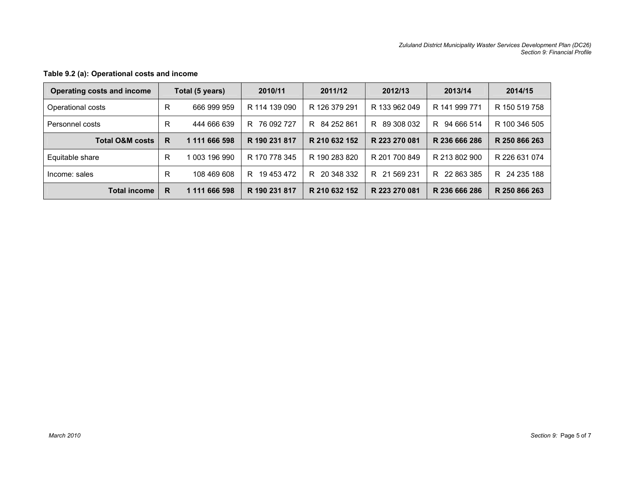| Operating costs and income |   | Total (5 years) | 2010/11          | 2011/12         | 2012/13          | 2013/14          | 2014/15          |
|----------------------------|---|-----------------|------------------|-----------------|------------------|------------------|------------------|
| Operational costs          |   | 666 999 959     | R 114 139 090    | R 126 379 291   | R 133 962 049    | R 141 999 771    | R 150 519 758    |
| Personnel costs            |   | 444 666 639     | 76 092 727<br>R. | R 84 252 861    | 89 308 032<br>R. | 94 666 514<br>R. | R 100 346 505    |
| <b>Total O&amp;M costs</b> | R | 1 111 666 598   | R 190 231 817    | R 210 632 152   | R 223 270 081    | R 236 666 286    | R 250 866 263    |
| Equitable share            | R | 1 003 196 990   | R 170 778 345    | R 190 283 820   | R 201 700 849    | R 213 802 900    | R 226 631 074    |
| Income: sales              | R | 108 469 608     | 19 453 472<br>R. | 20 348 332<br>R | 21 569 231<br>R. | 22 863 385<br>R. | 24 235 188<br>R. |
| <b>Total income</b>        | R | 1 111 666 598   | R 190 231 817    | R 210 632 152   | R 223 270 081    | R 236 666 286    | R 250 866 263    |

### Table 9.2 (a): Operational costs and income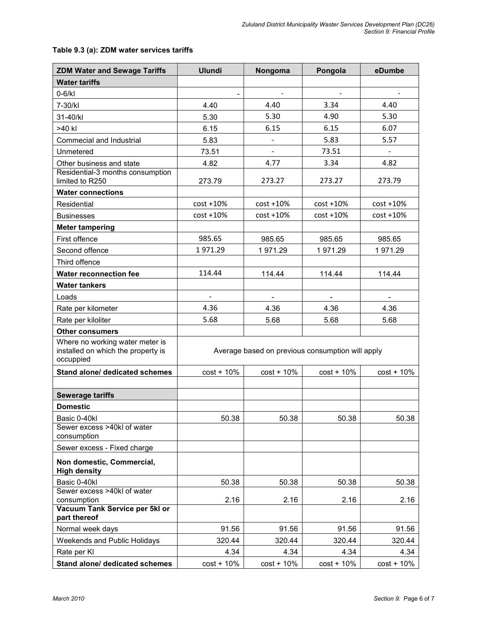### Table 9.3 (a): ZDM water services tariffs

| <b>ZDM Water and Sewage Tariffs</b>              | <b>Ulundi</b> | Nongoma                                          | Pongola      | eDumbe         |
|--------------------------------------------------|---------------|--------------------------------------------------|--------------|----------------|
| <b>Water tariffs</b>                             |               |                                                  |              |                |
| $0-6/kl$                                         |               | $\blacksquare$                                   | $\sim$       | $\blacksquare$ |
| 7-30/kl                                          | 4.40          | 4.40                                             | 3.34         | 4.40           |
| 31-40/kl                                         | 5.30          | 5.30                                             | 4.90         | 5.30           |
| >40 kl                                           | 6.15          | 6.15                                             | 6.15         | 6.07           |
| Commecial and Industrial                         | 5.83          | $\overline{\phantom{a}}$                         | 5.83         | 5.57           |
| Unmetered                                        | 73.51         |                                                  | 73.51        |                |
| Other business and state                         | 4.82          | 4.77                                             | 3.34         | 4.82           |
| Residential-3 months consumption                 |               |                                                  |              |                |
| limited to R250                                  | 273.79        | 273.27                                           | 273.27       | 273.79         |
| <b>Water connections</b>                         |               |                                                  |              |                |
| Residential                                      | $cost + 10%$  | $cost + 10%$                                     | $cost + 10%$ | $cost + 10%$   |
| <b>Businesses</b>                                | $cost + 10%$  | $cost + 10%$                                     | $cost + 10%$ | $cost + 10%$   |
| <b>Meter tampering</b>                           |               |                                                  |              |                |
| First offence                                    | 985.65        | 985.65                                           | 985.65       | 985.65         |
| Second offence                                   | 1971.29       | 1971.29                                          | 1971.29      | 1971.29        |
| Third offence                                    |               |                                                  |              |                |
| <b>Water reconnection fee</b>                    | 114.44        | 114.44                                           | 114.44       | 114.44         |
| <b>Water tankers</b>                             |               |                                                  |              |                |
| Loads                                            |               |                                                  |              |                |
| Rate per kilometer                               | 4.36          | 4.36                                             | 4.36         | 4.36           |
| Rate per kiloliter                               | 5.68          | 5.68                                             | 5.68         | 5.68           |
| <b>Other consumers</b>                           |               |                                                  |              |                |
| Where no working water meter is                  |               |                                                  |              |                |
| installed on which the property is               |               | Average based on previous consumption will apply |              |                |
| occuppied                                        |               |                                                  |              |                |
| Stand alone/ dedicated schemes                   | $cost + 10%$  | $cost + 10%$                                     | $cost + 10%$ | $cost + 10%$   |
|                                                  |               |                                                  |              |                |
| <b>Sewerage tariffs</b>                          |               |                                                  |              |                |
| <b>Domestic</b>                                  |               |                                                  |              |                |
| Basic 0-40kl                                     | 50.38         | 50.38                                            | 50.38        | 50.38          |
| Sewer excess >40kl of water<br>consumption       |               |                                                  |              |                |
| Sewer excess - Fixed charge                      |               |                                                  |              |                |
| Non domestic, Commercial,<br><b>High density</b> |               |                                                  |              |                |
| Basic 0-40kl                                     | 50.38         | 50.38                                            | 50.38        | 50.38          |
| Sewer excess >40kl of water                      |               |                                                  |              |                |
| consumption                                      | 2.16          | 2.16                                             | 2.16         | 2.16           |
| Vacuum Tank Service per 5kl or<br>part thereof   |               |                                                  |              |                |
| Normal week days                                 | 91.56         | 91.56                                            | 91.56        | 91.56          |
| Weekends and Public Holidays                     | 320.44        | 320.44                                           | 320.44       | 320.44         |
| Rate per KI                                      | 4.34          | 4.34                                             | 4.34         | 4.34           |
| Stand alone/ dedicated schemes                   | $cost + 10%$  | $cost + 10%$                                     | $cost + 10%$ | $cost + 10%$   |